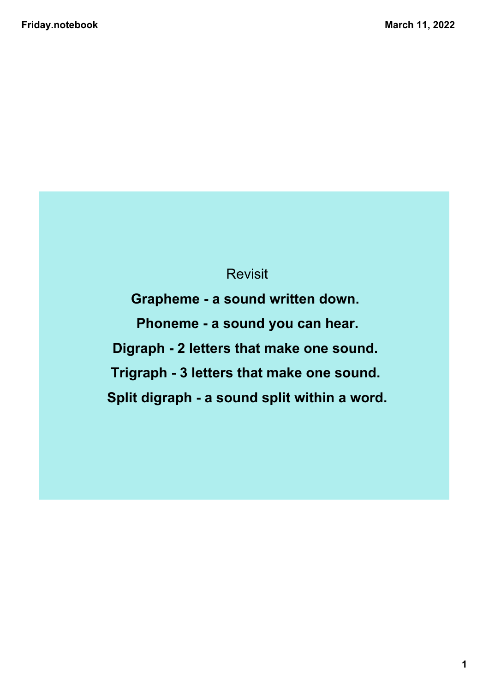#### Revisit

**Grapheme - a sound written down. Phoneme a sound you can hear. Digraph 2 letters that make one sound. Trigraph 3 letters that make one sound.**  Split digraph - a sound split within a word.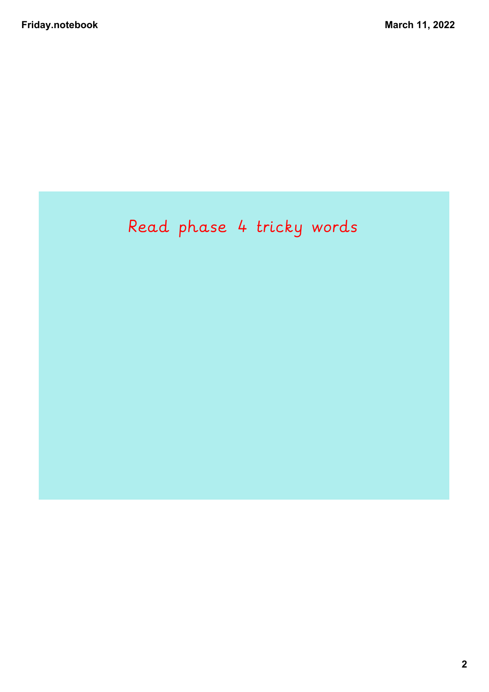#### Read phase 4 tricky words

**2**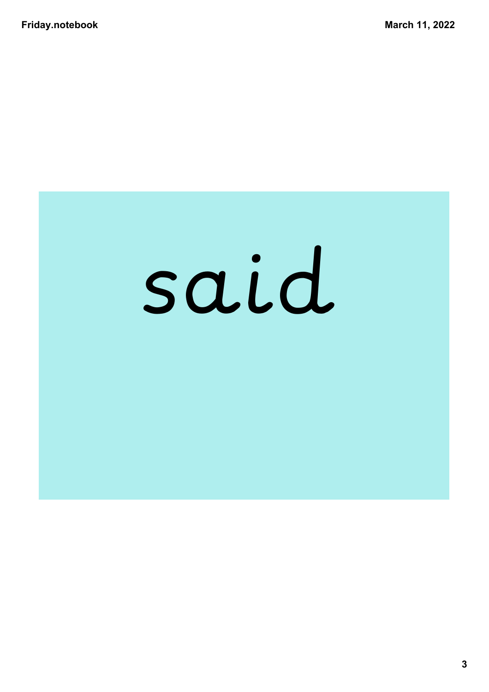## said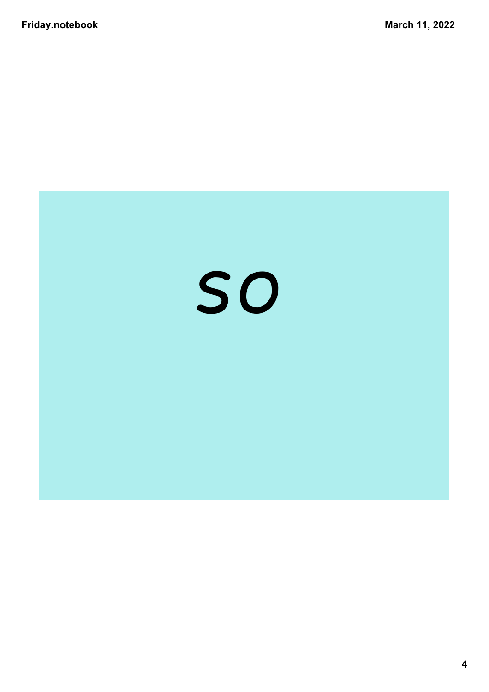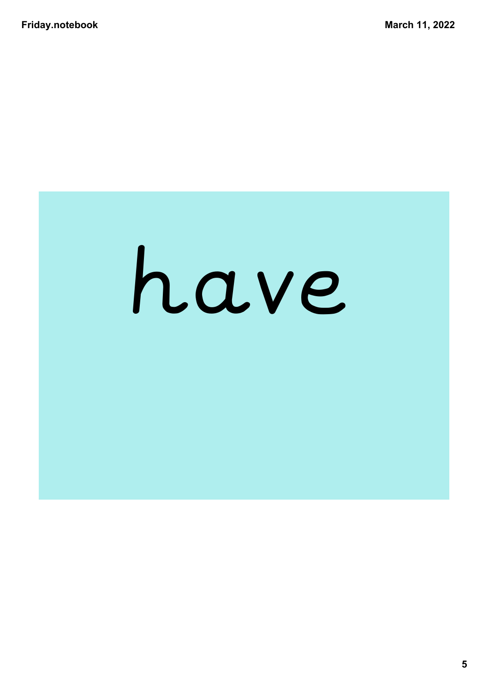## have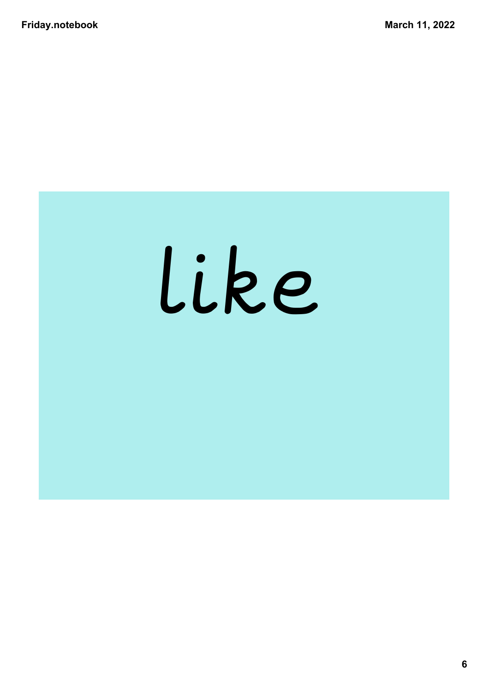### Like.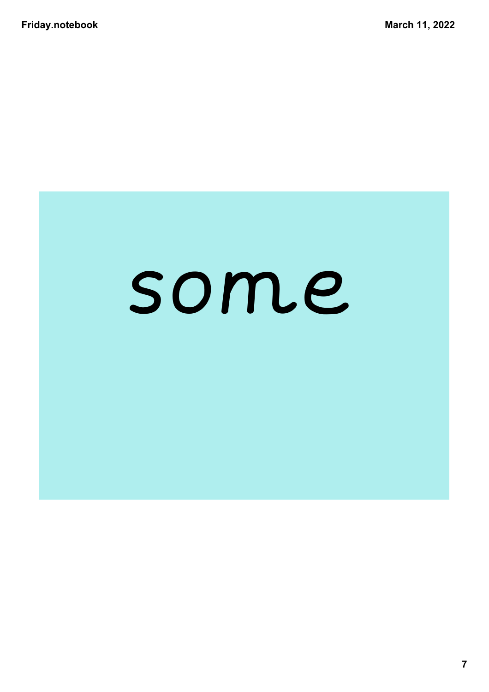### some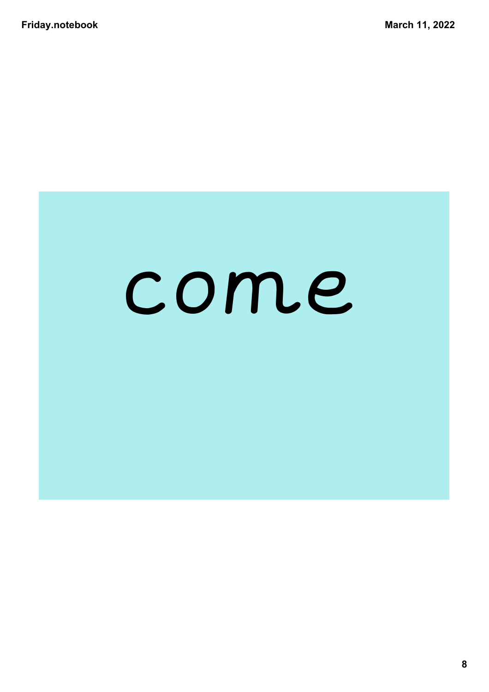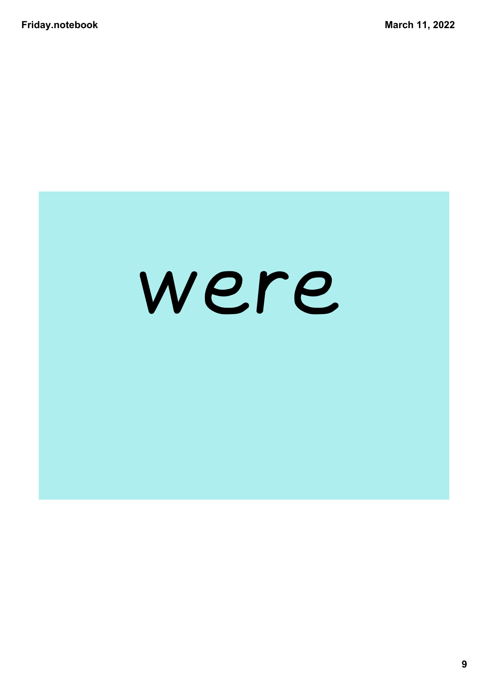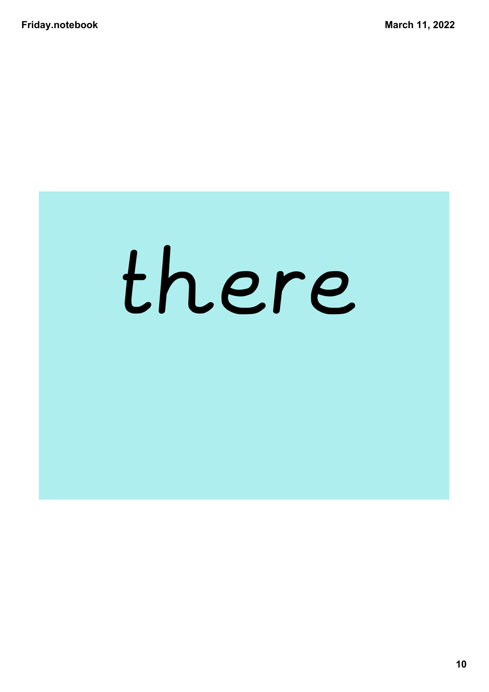# there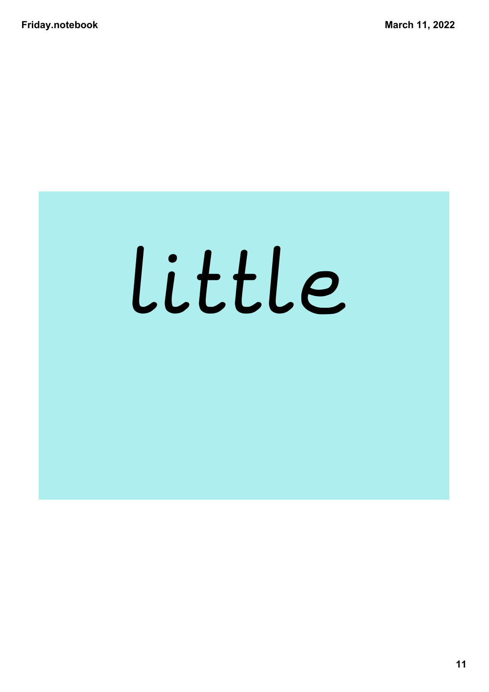### little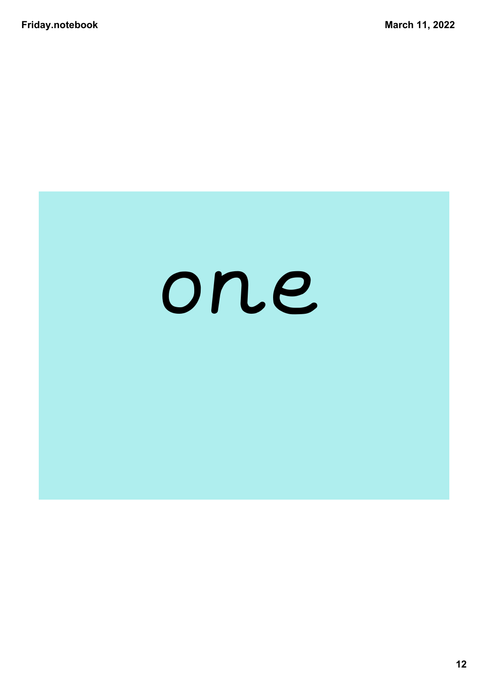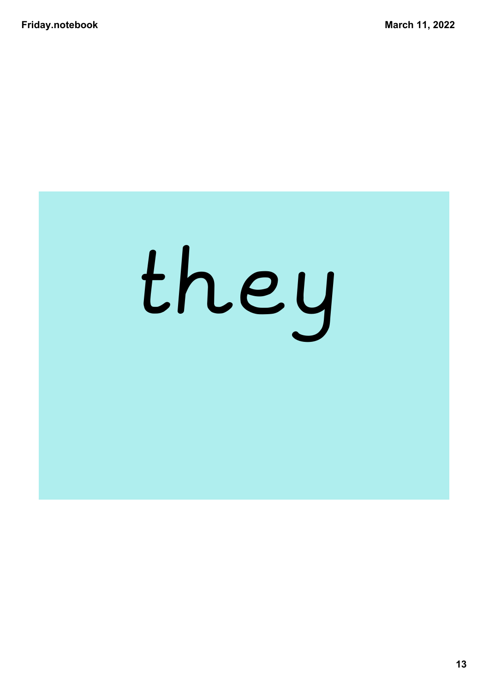# they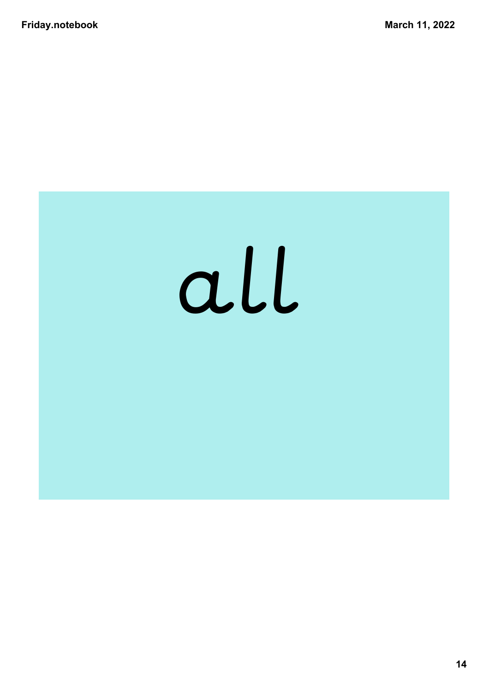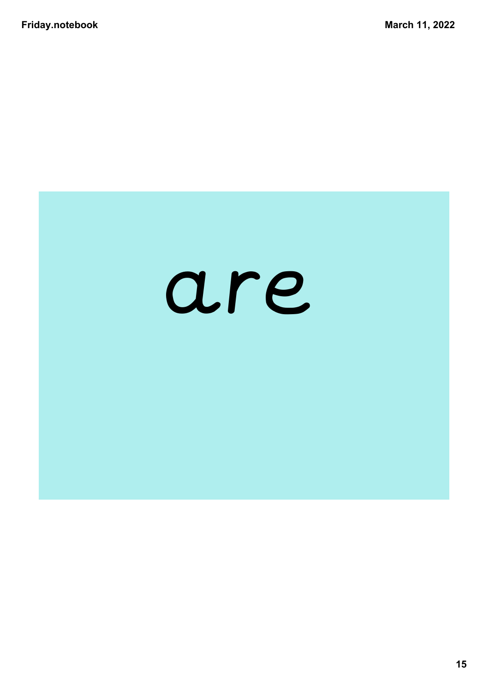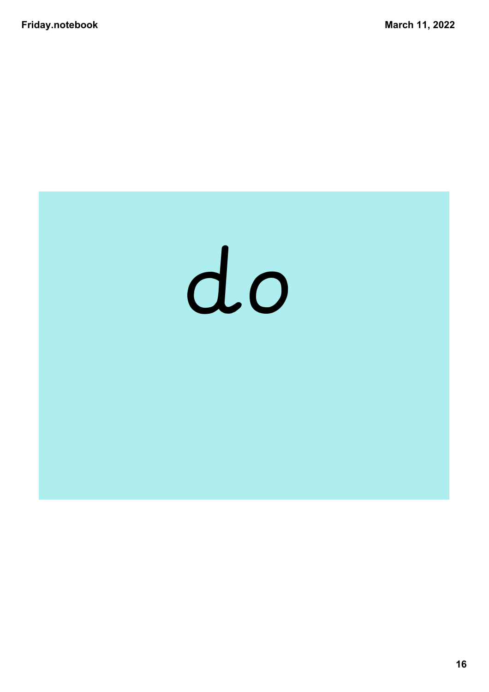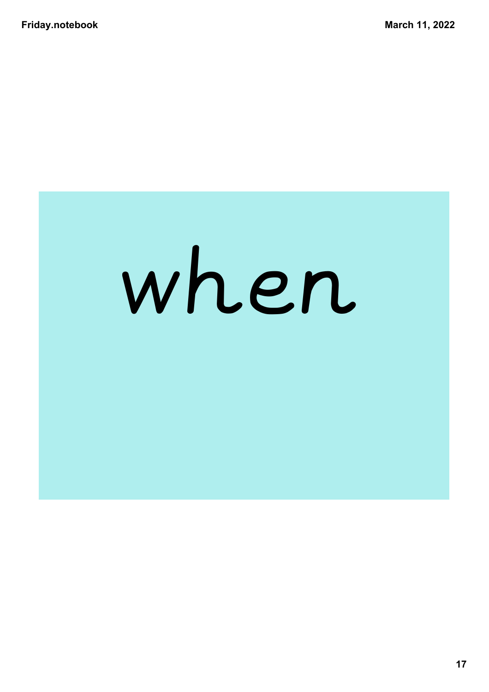# when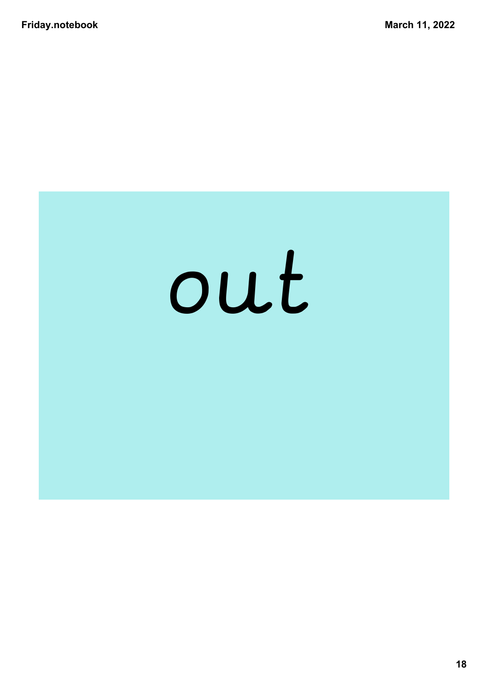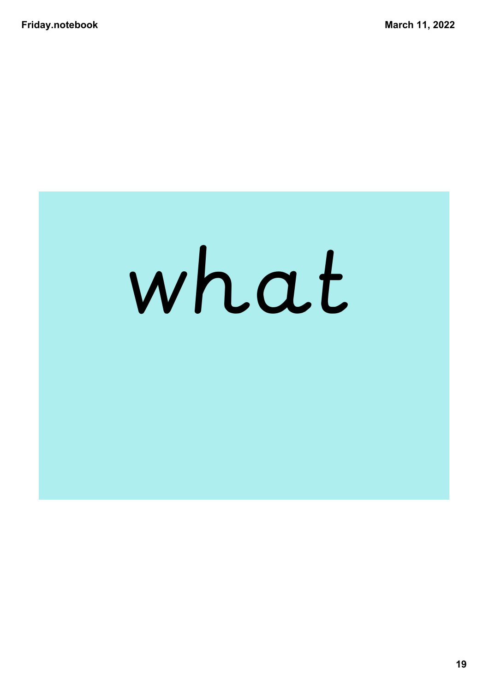## what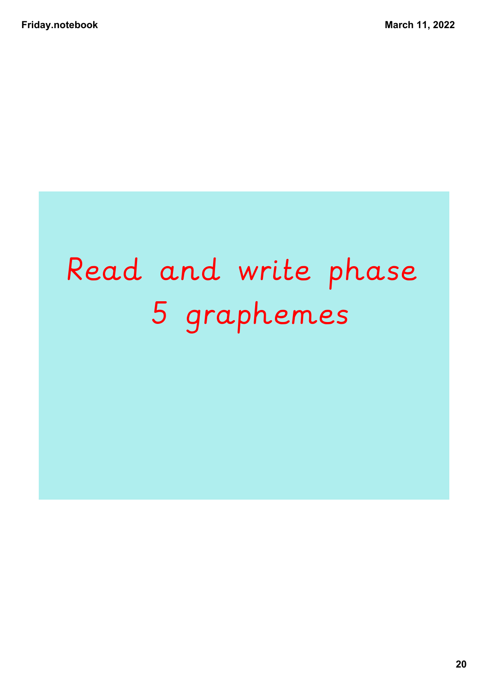#### Read and write phase 5 graphemes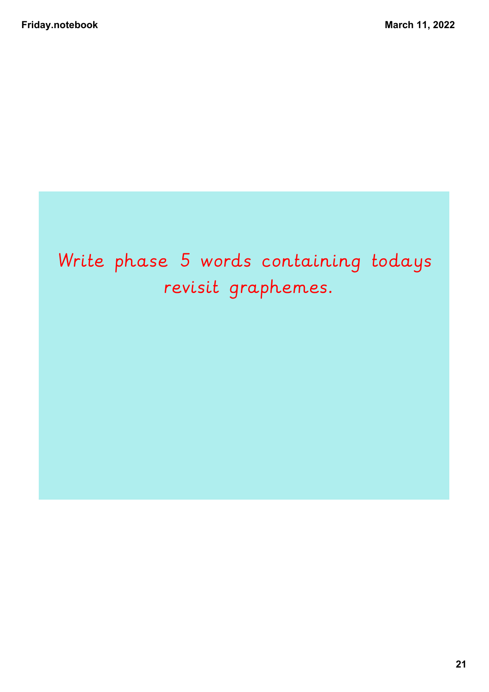#### Write phase 5 words containing todays revisit graphemes.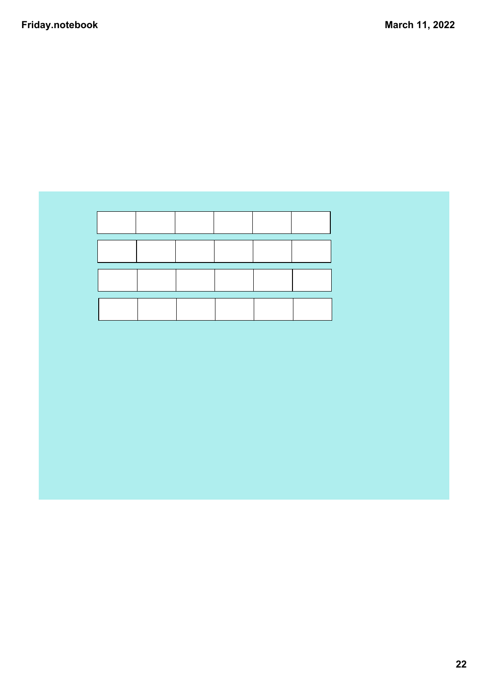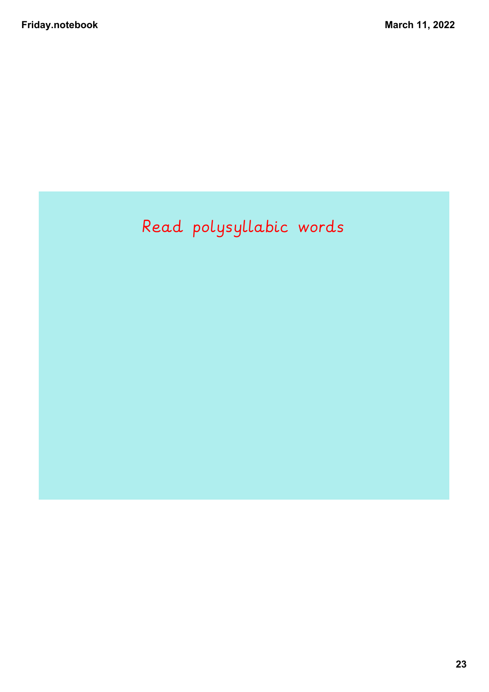#### Read polysyllabic words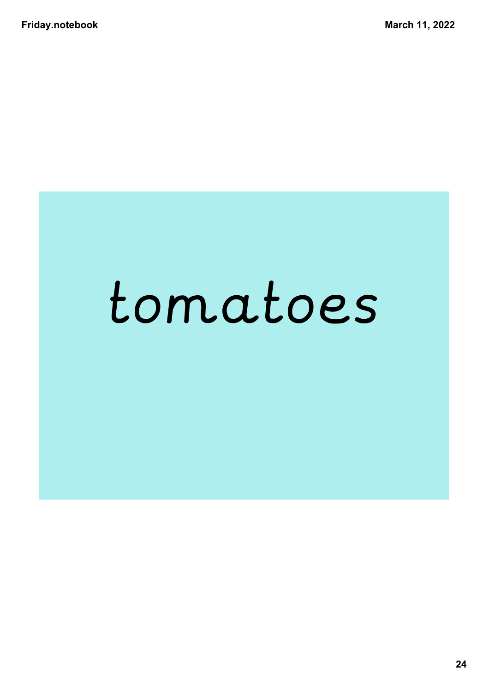### tomatoes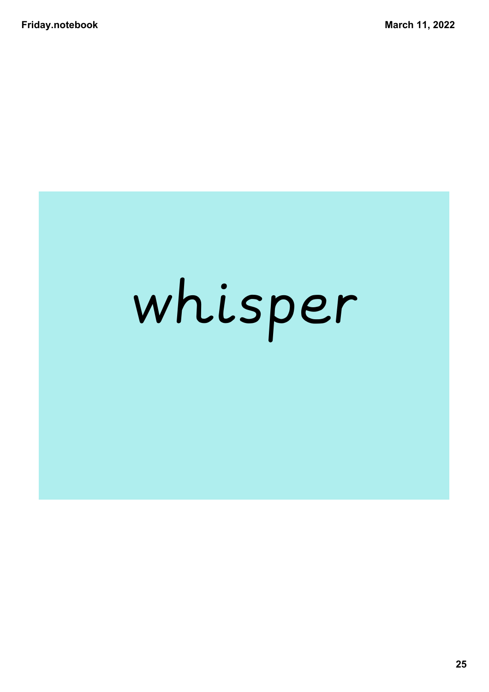### whisper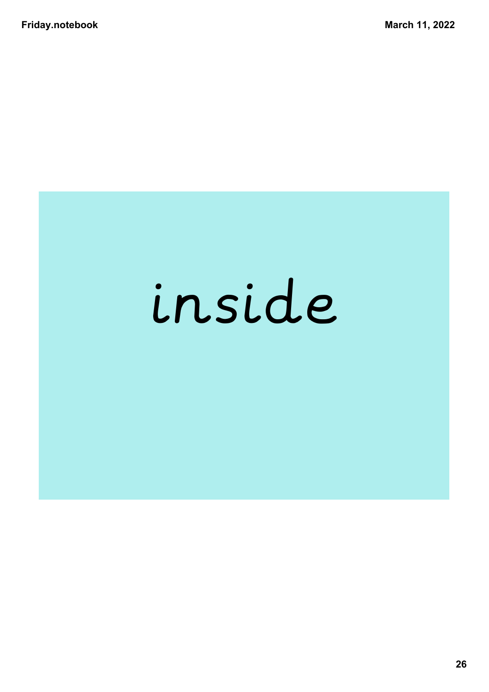### inside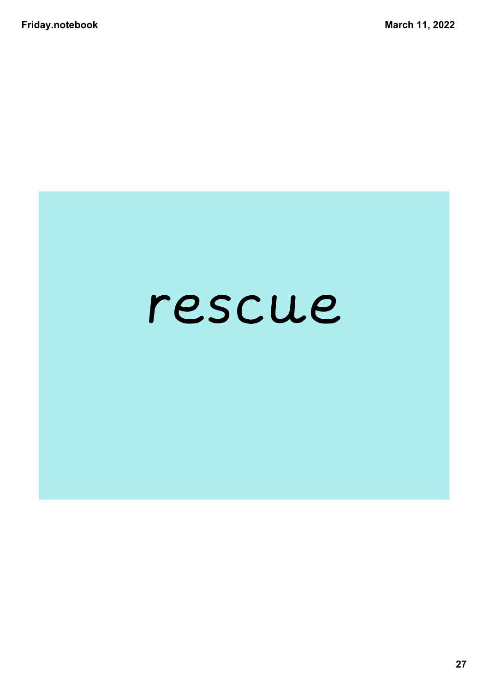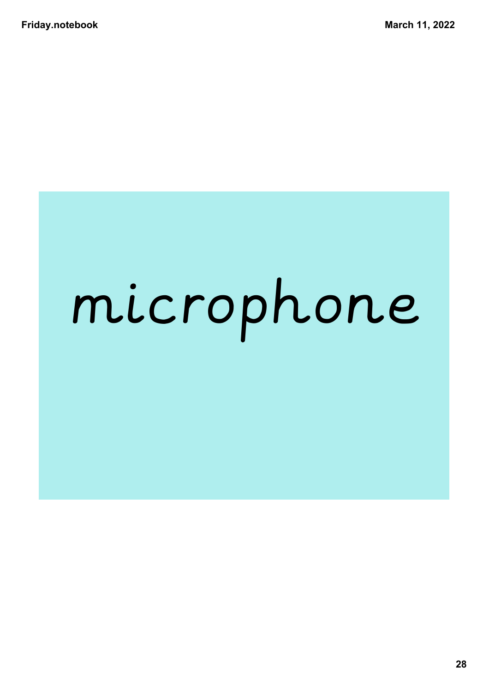### microphone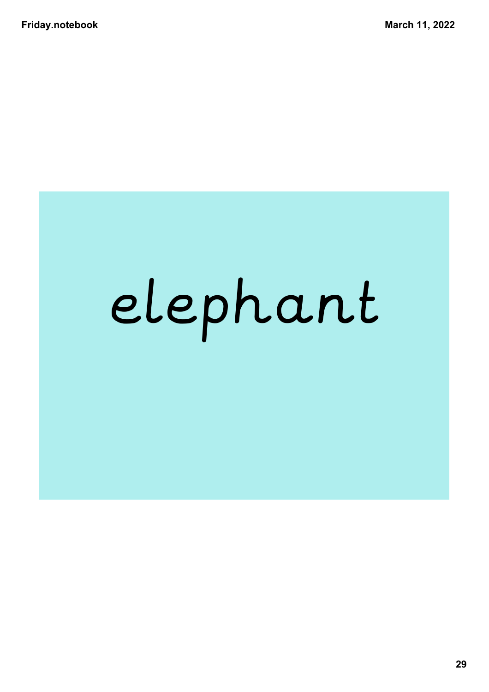# elephant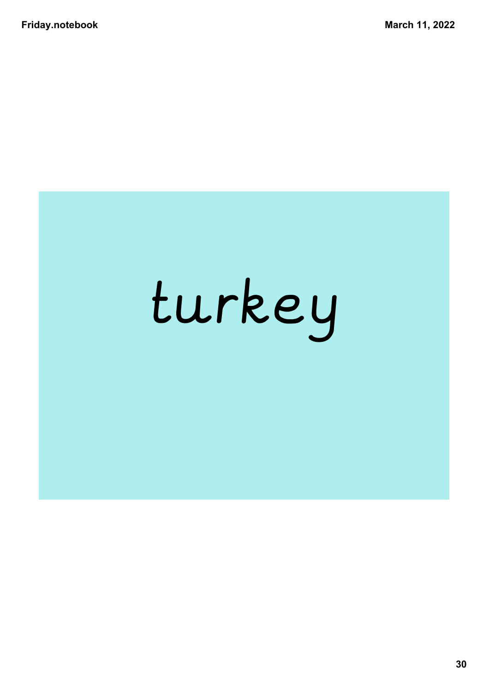### turkey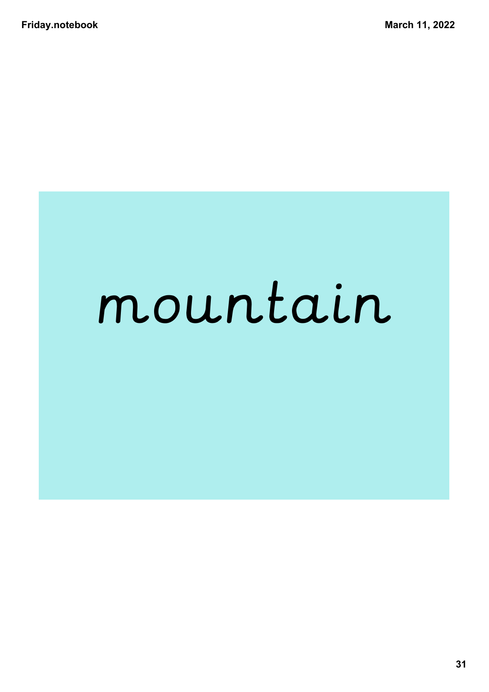# mountain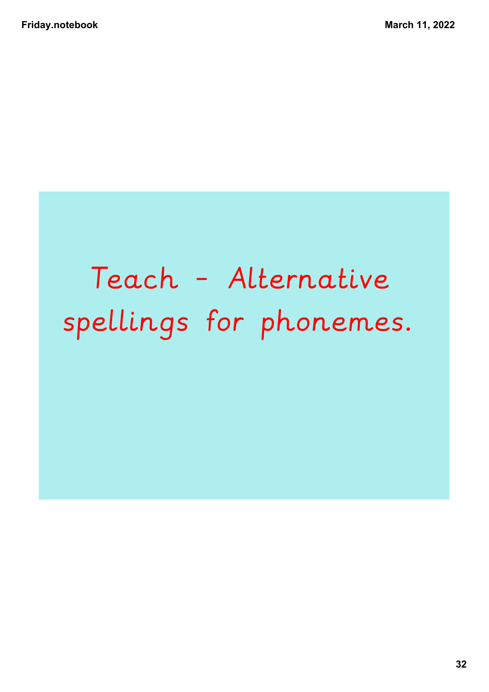#### Teach - Alternative spellings for phonemes.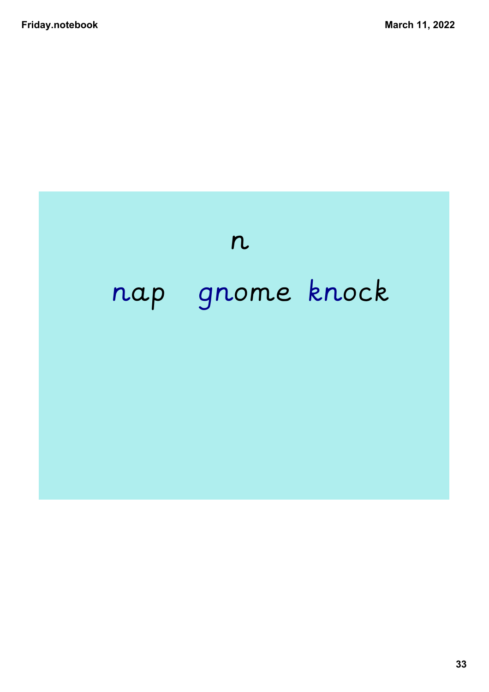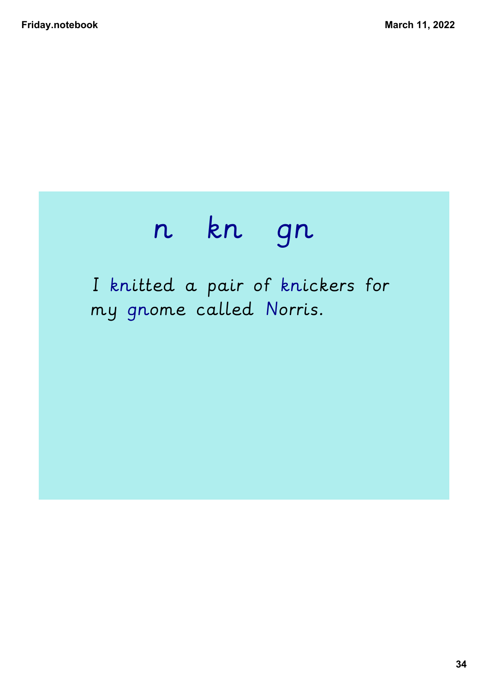#### n kn gn

I knitted a pair of knickers for my gnome called Norris.